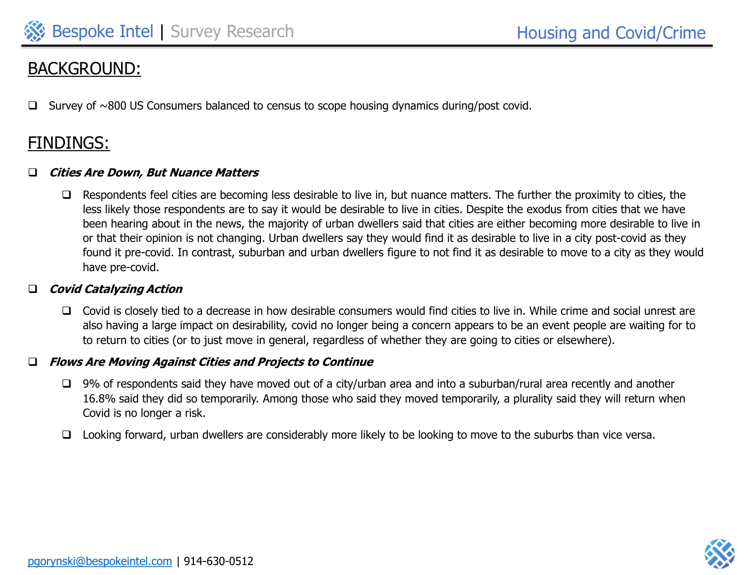# BACKGROUND:

Survey of  $\sim$ 800 US Consumers balanced to census to scope housing dynamics during/post covid.

# FINDINGS:

#### ❑ **Cities Are Down, But Nuance Matters**

❑ Respondents feel cities are becoming less desirable to live in, but nuance matters. The further the proximity to cities, the less likely those respondents are to say it would be desirable to live in cities. Despite the exodus from cities that we have been hearing about in the news, the majority of urban dwellers said that cities are either becoming more desirable to live in or that their opinion is not changing. Urban dwellers say they would find it as desirable to live in a city post-covid as they found it pre-covid. In contrast, suburban and urban dwellers figure to not find it as desirable to move to a city as they would have pre-covid.

#### ❑ **Covid Catalyzing Action**

❑ Covid is closely tied to a decrease in how desirable consumers would find cities to live in. While crime and social unrest are also having a large impact on desirability, covid no longer being a concern appears to be an event people are waiting for to to return to cities (or to just move in general, regardless of whether they are going to cities or elsewhere).

#### ❑ **Flows Are Moving Against Cities and Projects to Continue**

- ❑ 9% of respondents said they have moved out of a city/urban area and into a suburban/rural area recently and another 16.8% said they did so temporarily. Among those who said they moved temporarily, a plurality said they will return when Covid is no longer a risk.
- ❑ Looking forward, urban dwellers are considerably more likely to be looking to move to the suburbs than vice versa.

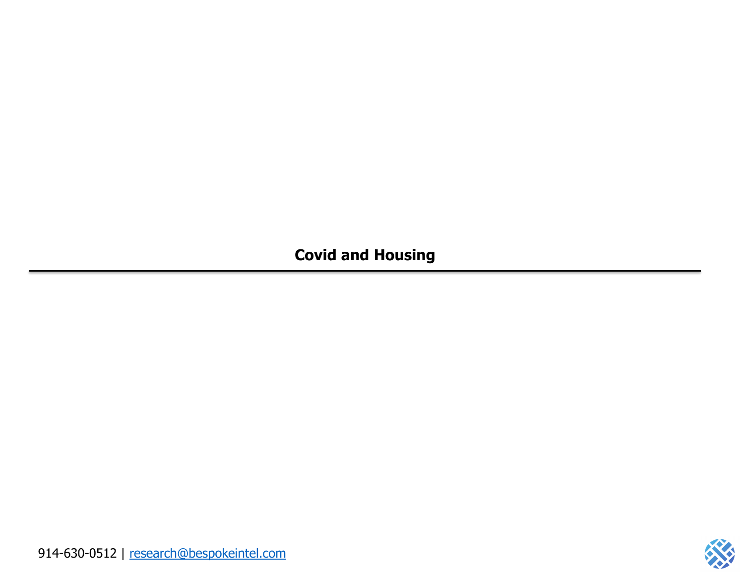**Covid and Housing**

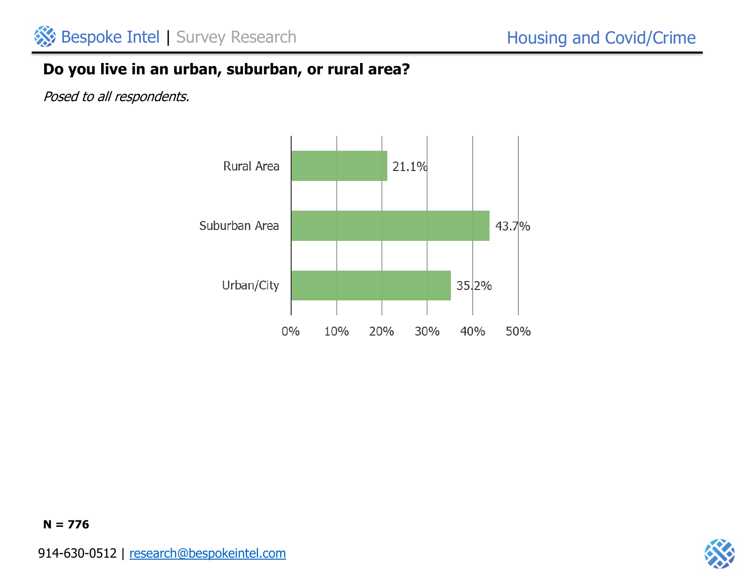

## **Do you live in an urban, suburban, or rural area?**

Posed to all respondents.



**N = 776**

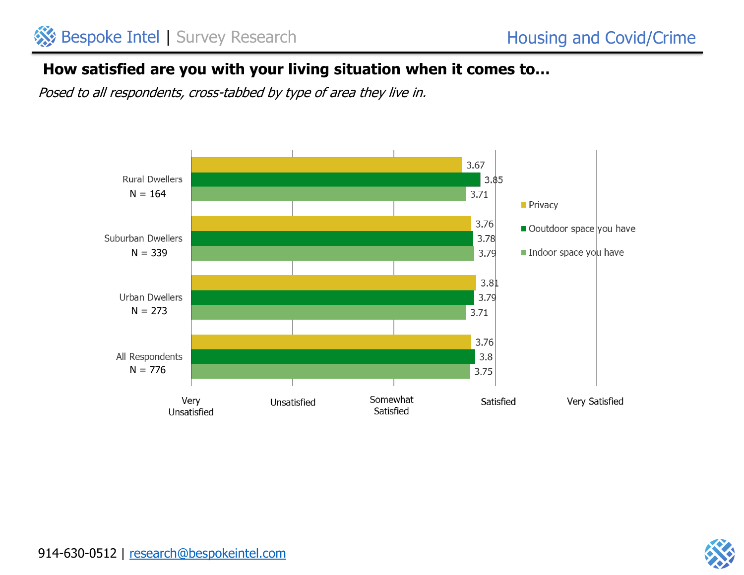# **How satisfied are you with your living situation when it comes to…**

Posed to all respondents, cross-tabbed by type of area they live in.



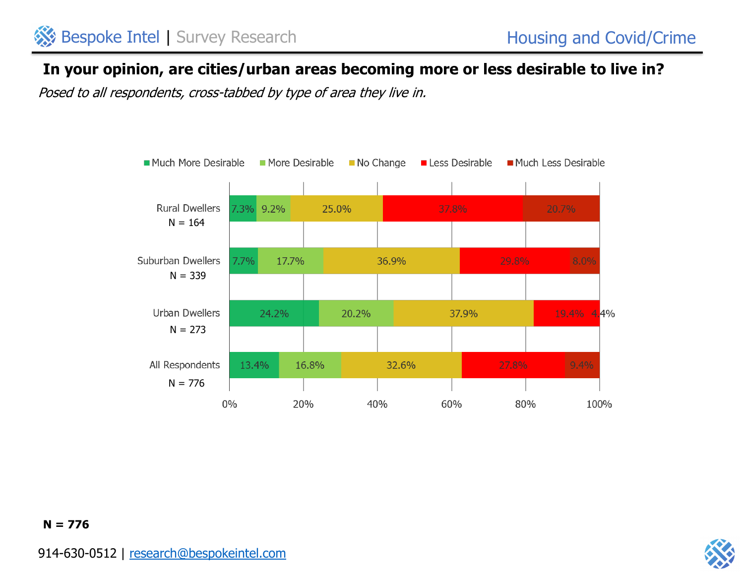## **In your opinion, are cities/urban areas becoming more or less desirable to live in?**

Posed to all respondents, cross-tabbed by type of area they live in.





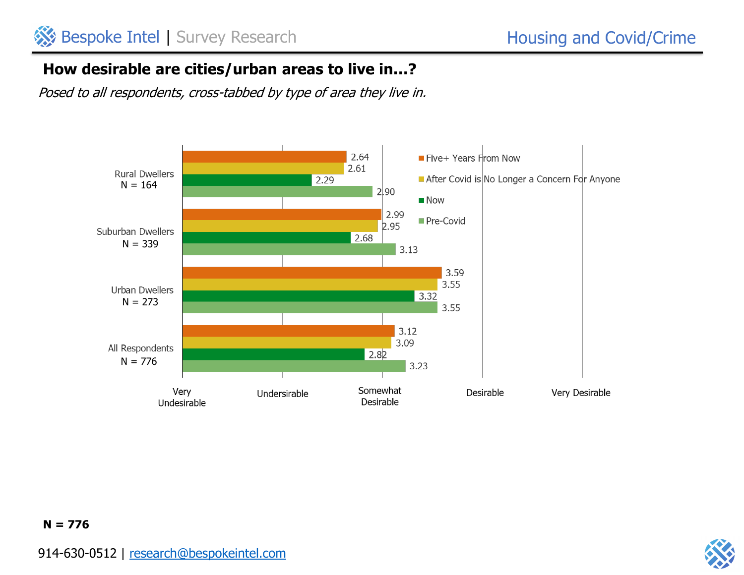## **How desirable are cities/urban areas to live in…?**

Posed to all respondents, cross-tabbed by type of area they live in.



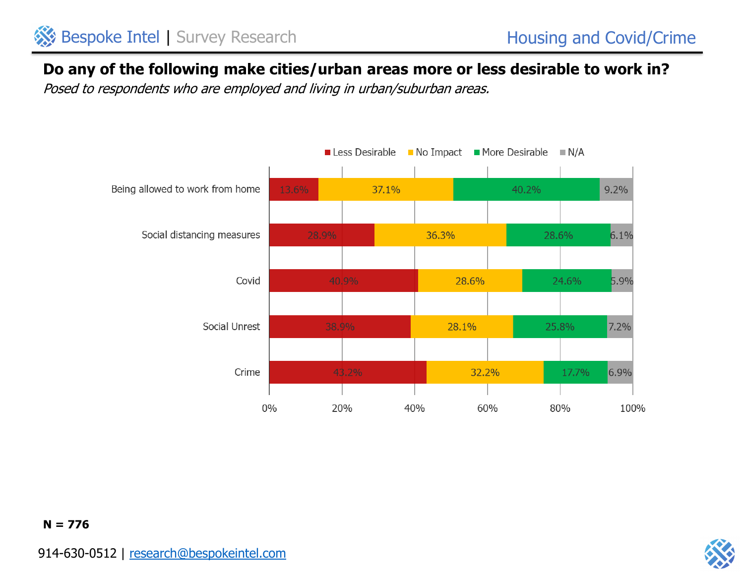

## **Do any of the following make cities/urban areas more or less desirable to work in?**

Posed to respondents who are employed and living in urban/suburban areas.





#### **N = 776**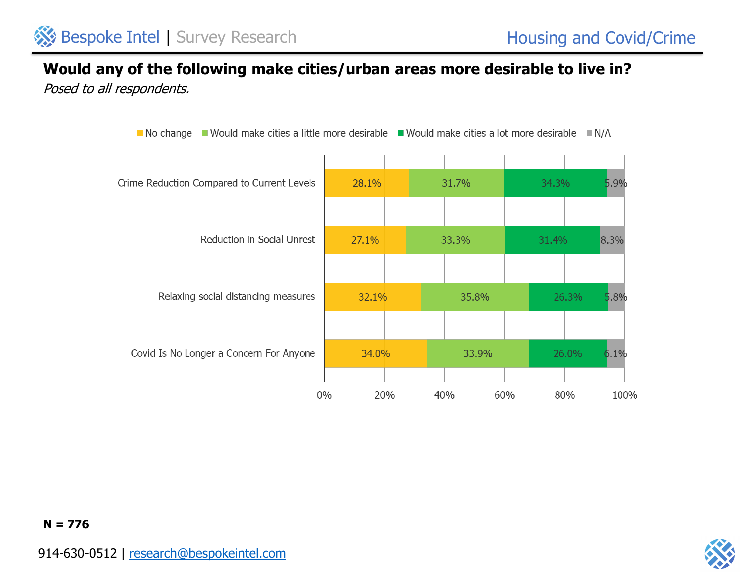### **Would any of the following make cities/urban areas more desirable to live in?** Posed to all respondents.



**N = 776**

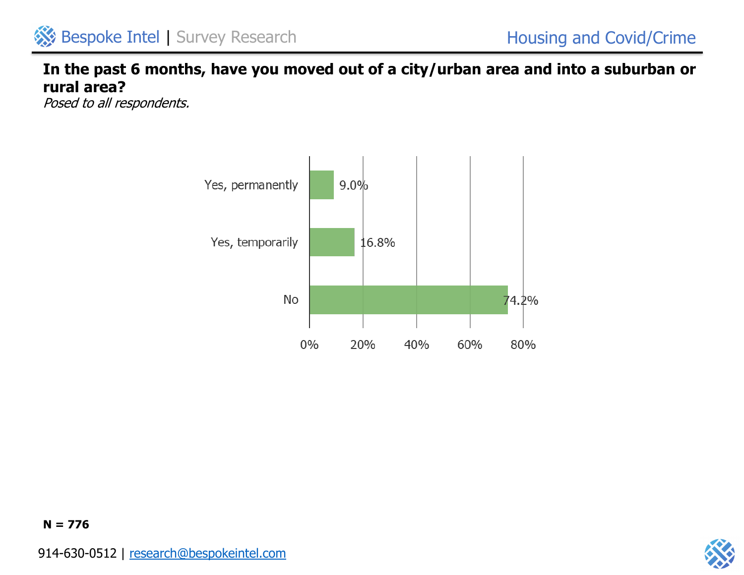## **In the past 6 months, have you moved out of a city/urban area and into a suburban or rural area?**

Posed to all respondents.



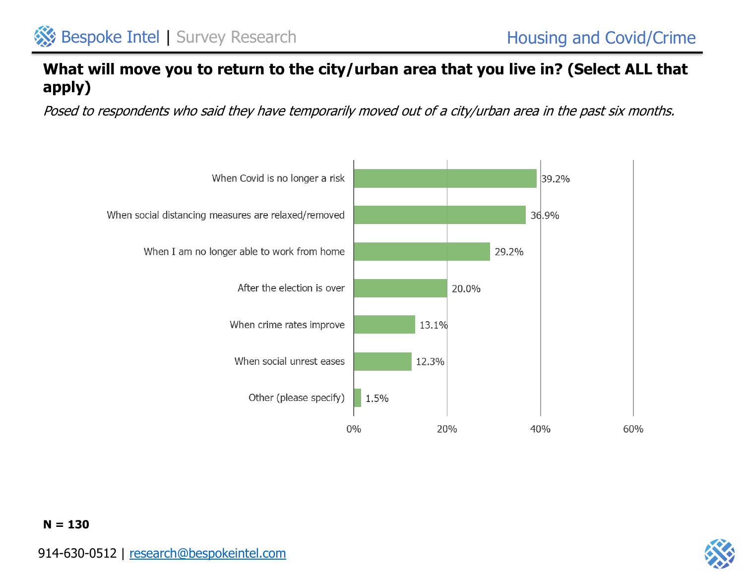## **What will move you to return to the city/urban area that you live in? (Select ALL that apply)**

Posed to respondents who said they have temporarily moved out of a city/urban area in the past six months.





**N = 130**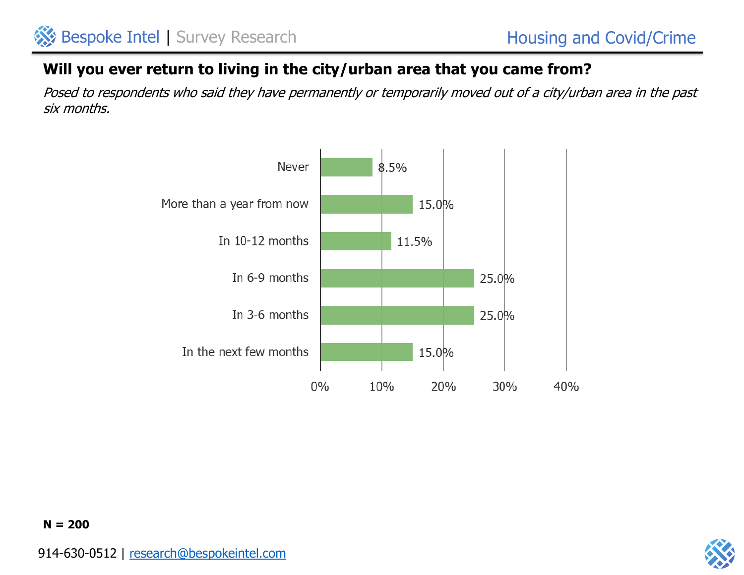## **Will you ever return to living in the city/urban area that you came from?**

Posed to respondents who said they have permanently or temporarily moved out of a city/urban area in the past six months.



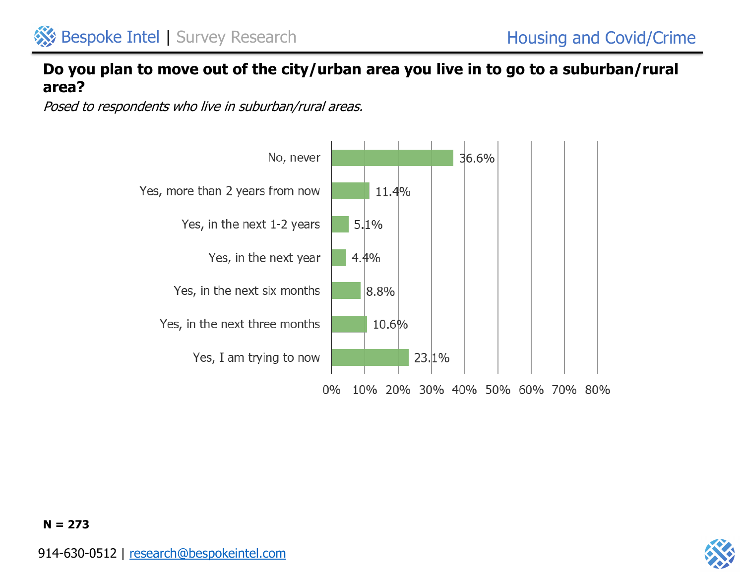

### **Do you plan to move out of the city/urban area you live in to go to a suburban/rural area?**

Posed to respondents who live in suburban/rural areas.



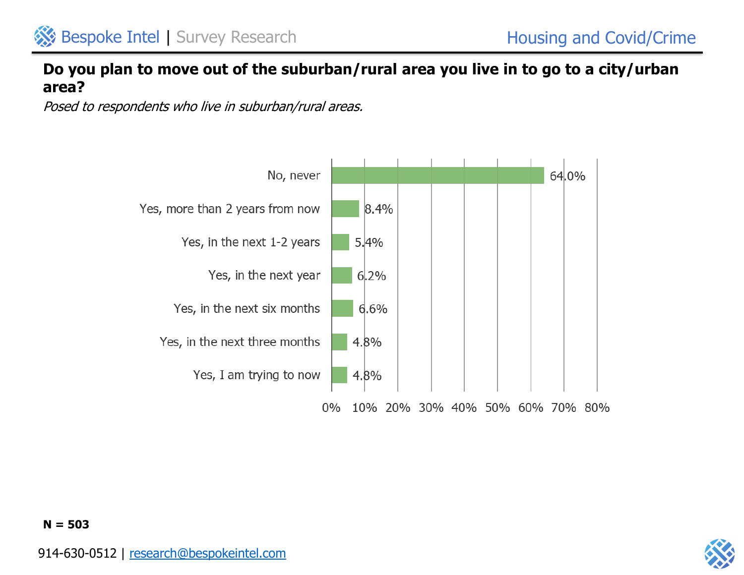

### **Do you plan to move out of the suburban/rural area you live in to go to a city/urban area?**

Posed to respondents who live in suburban/rural areas.



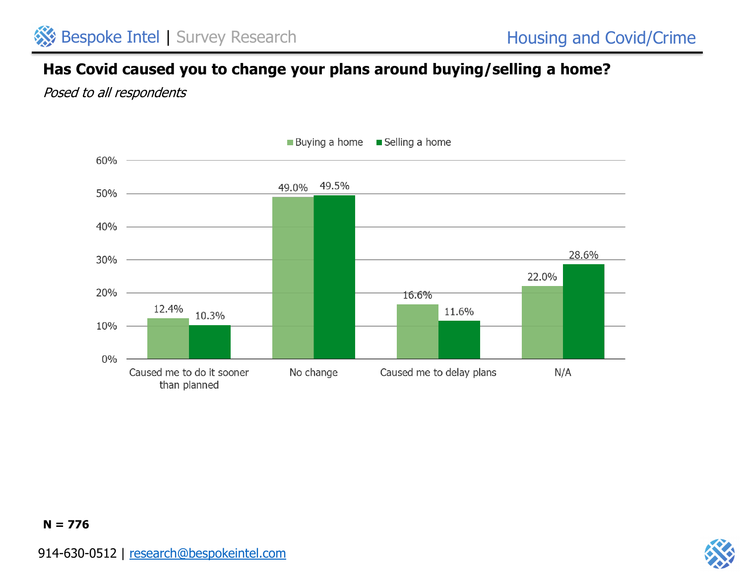## **Has Covid caused you to change your plans around buying/selling a home?**

Posed to all respondents